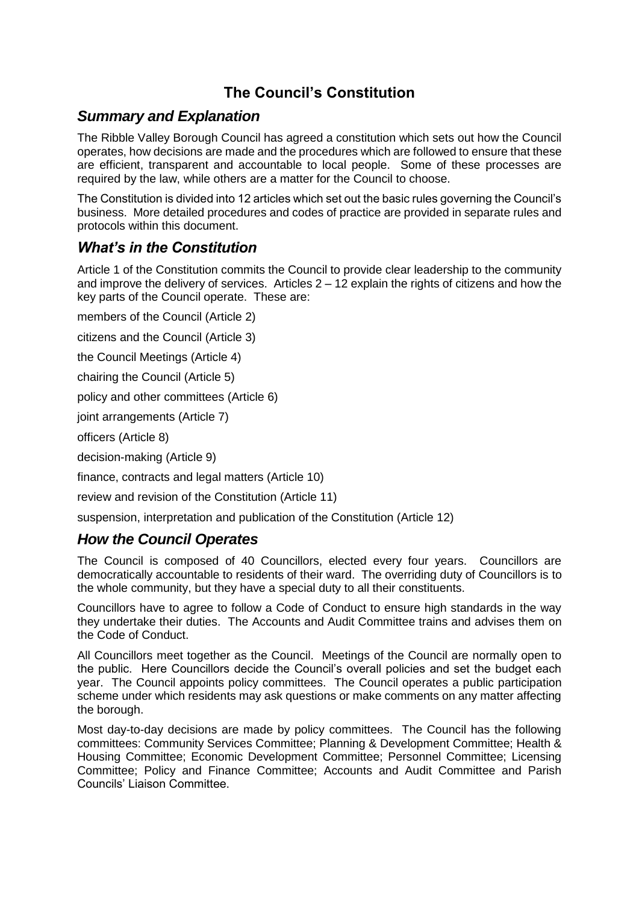# **The Council's Constitution**

### *Summary and Explanation*

The Ribble Valley Borough Council has agreed a constitution which sets out how the Council operates, how decisions are made and the procedures which are followed to ensure that these are efficient, transparent and accountable to local people. Some of these processes are required by the law, while others are a matter for the Council to choose.

The Constitution is divided into 12 articles which set out the basic rules governing the Council's business. More detailed procedures and codes of practice are provided in separate rules and protocols within this document.

## *What's in the Constitution*

Article 1 of the Constitution commits the Council to provide clear leadership to the community and improve the delivery of services. Articles  $2 - 12$  explain the rights of citizens and how the key parts of the Council operate. These are:

members of the Council (Article 2)

citizens and the Council (Article 3)

the Council Meetings (Article 4)

chairing the Council (Article 5)

policy and other committees (Article 6)

joint arrangements (Article 7)

officers (Article 8)

decision-making (Article 9)

finance, contracts and legal matters (Article 10)

review and revision of the Constitution (Article 11)

suspension, interpretation and publication of the Constitution (Article 12)

#### *How the Council Operates*

The Council is composed of 40 Councillors, elected every four years. Councillors are democratically accountable to residents of their ward. The overriding duty of Councillors is to the whole community, but they have a special duty to all their constituents.

Councillors have to agree to follow a Code of Conduct to ensure high standards in the way they undertake their duties. The Accounts and Audit Committee trains and advises them on the Code of Conduct.

All Councillors meet together as the Council. Meetings of the Council are normally open to the public. Here Councillors decide the Council's overall policies and set the budget each year. The Council appoints policy committees. The Council operates a public participation scheme under which residents may ask questions or make comments on any matter affecting the borough.

Most day-to-day decisions are made by policy committees. The Council has the following committees: Community Services Committee; Planning & Development Committee; Health & Housing Committee; Economic Development Committee; Personnel Committee; Licensing Committee; Policy and Finance Committee; Accounts and Audit Committee and Parish Councils' Liaison Committee.